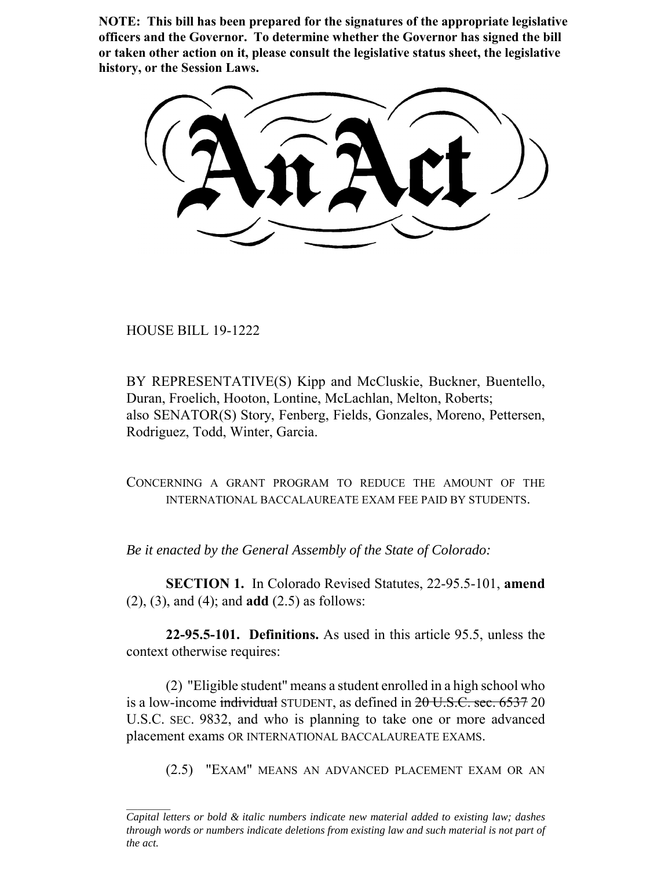**NOTE: This bill has been prepared for the signatures of the appropriate legislative officers and the Governor. To determine whether the Governor has signed the bill or taken other action on it, please consult the legislative status sheet, the legislative history, or the Session Laws.**

HOUSE BILL 19-1222

BY REPRESENTATIVE(S) Kipp and McCluskie, Buckner, Buentello, Duran, Froelich, Hooton, Lontine, McLachlan, Melton, Roberts; also SENATOR(S) Story, Fenberg, Fields, Gonzales, Moreno, Pettersen, Rodriguez, Todd, Winter, Garcia.

CONCERNING A GRANT PROGRAM TO REDUCE THE AMOUNT OF THE INTERNATIONAL BACCALAUREATE EXAM FEE PAID BY STUDENTS.

*Be it enacted by the General Assembly of the State of Colorado:*

**SECTION 1.** In Colorado Revised Statutes, 22-95.5-101, **amend** (2), (3), and (4); and **add** (2.5) as follows:

**22-95.5-101. Definitions.** As used in this article 95.5, unless the context otherwise requires:

(2) "Eligible student" means a student enrolled in a high school who is a low-income individual STUDENT, as defined in  $20 \text{ U.S.C. sec. } 6537 20$ U.S.C. SEC. 9832, and who is planning to take one or more advanced placement exams OR INTERNATIONAL BACCALAUREATE EXAMS.

(2.5) "EXAM" MEANS AN ADVANCED PLACEMENT EXAM OR AN

*Capital letters or bold & italic numbers indicate new material added to existing law; dashes through words or numbers indicate deletions from existing law and such material is not part of the act.*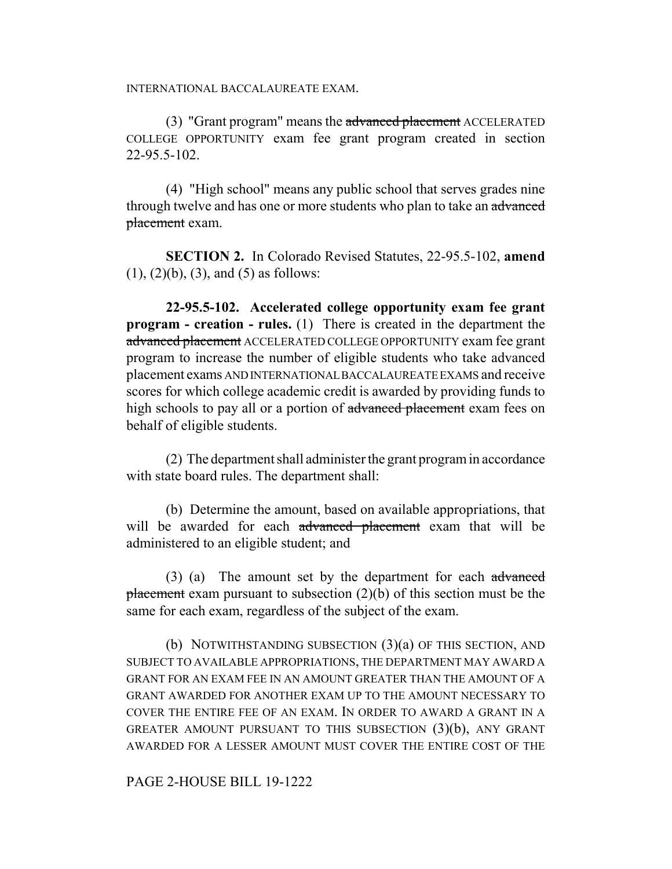INTERNATIONAL BACCALAUREATE EXAM.

(3) "Grant program" means the advanced placement ACCELERATED COLLEGE OPPORTUNITY exam fee grant program created in section 22-95.5-102.

(4) "High school" means any public school that serves grades nine through twelve and has one or more students who plan to take an advanced placement exam.

**SECTION 2.** In Colorado Revised Statutes, 22-95.5-102, **amend**  $(1)$ ,  $(2)(b)$ ,  $(3)$ , and  $(5)$  as follows:

**22-95.5-102. Accelerated college opportunity exam fee grant program - creation - rules.** (1) There is created in the department the advanced placement ACCELERATED COLLEGE OPPORTUNITY exam fee grant program to increase the number of eligible students who take advanced placement exams AND INTERNATIONAL BACCALAUREATE EXAMS and receive scores for which college academic credit is awarded by providing funds to high schools to pay all or a portion of advanced placement exam fees on behalf of eligible students.

(2) The department shall administer the grant program in accordance with state board rules. The department shall:

(b) Determine the amount, based on available appropriations, that will be awarded for each advanced placement exam that will be administered to an eligible student; and

(3) (a) The amount set by the department for each advanced placement exam pursuant to subsection (2)(b) of this section must be the same for each exam, regardless of the subject of the exam.

(b) NOTWITHSTANDING SUBSECTION (3)(a) OF THIS SECTION, AND SUBJECT TO AVAILABLE APPROPRIATIONS, THE DEPARTMENT MAY AWARD A GRANT FOR AN EXAM FEE IN AN AMOUNT GREATER THAN THE AMOUNT OF A GRANT AWARDED FOR ANOTHER EXAM UP TO THE AMOUNT NECESSARY TO COVER THE ENTIRE FEE OF AN EXAM. IN ORDER TO AWARD A GRANT IN A GREATER AMOUNT PURSUANT TO THIS SUBSECTION (3)(b), ANY GRANT AWARDED FOR A LESSER AMOUNT MUST COVER THE ENTIRE COST OF THE

PAGE 2-HOUSE BILL 19-1222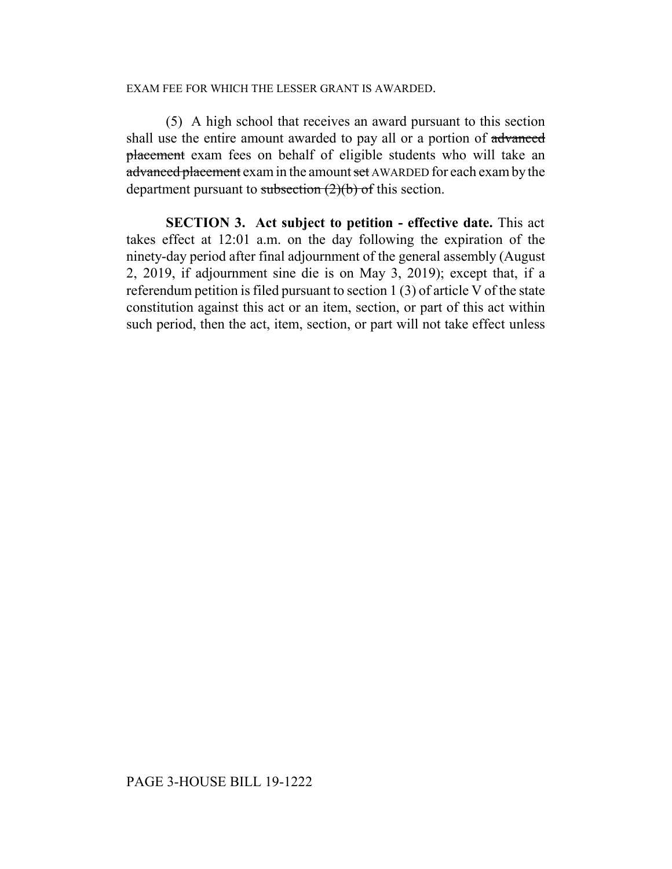## EXAM FEE FOR WHICH THE LESSER GRANT IS AWARDED.

(5) A high school that receives an award pursuant to this section shall use the entire amount awarded to pay all or a portion of advanced placement exam fees on behalf of eligible students who will take an advanced placement exam in the amount set AWARDED for each exam by the department pursuant to subsection  $(2)(b)$  of this section.

**SECTION 3. Act subject to petition - effective date.** This act takes effect at 12:01 a.m. on the day following the expiration of the ninety-day period after final adjournment of the general assembly (August 2, 2019, if adjournment sine die is on May 3, 2019); except that, if a referendum petition is filed pursuant to section 1 (3) of article V of the state constitution against this act or an item, section, or part of this act within such period, then the act, item, section, or part will not take effect unless